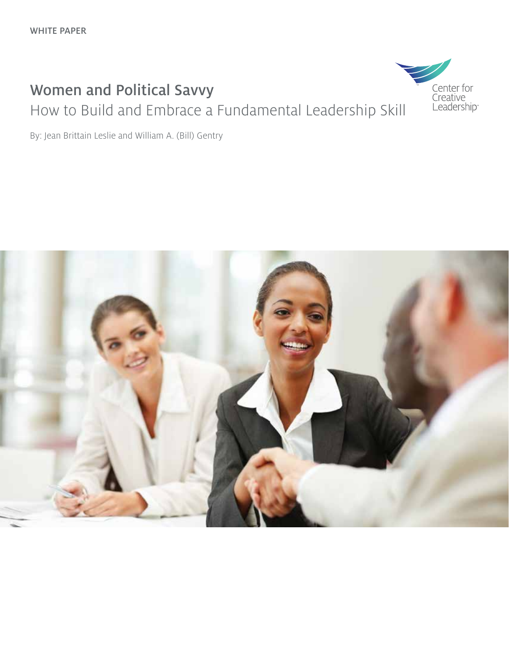### Women and Political Savvy How to Build and Embrace a Fundamental Leadership Skill



By: Jean Brittain Leslie and William A. (Bill) Gentry

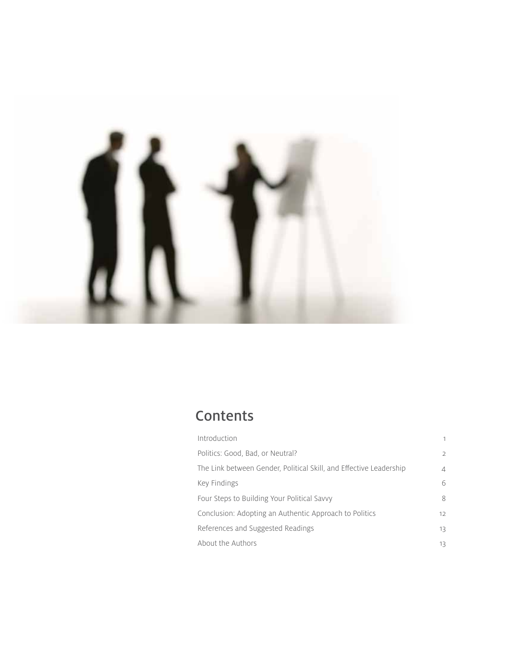

## **Contents**

| Introduction                                                       | 1  |
|--------------------------------------------------------------------|----|
| Politics: Good, Bad, or Neutral?                                   | 2  |
| The Link between Gender, Political Skill, and Effective Leadership | 4  |
| Key Findings                                                       | 6  |
| Four Steps to Building Your Political Savvy                        | 8  |
| Conclusion: Adopting an Authentic Approach to Politics             | 12 |
| References and Suggested Readings                                  | 13 |
| About the Authors                                                  | 13 |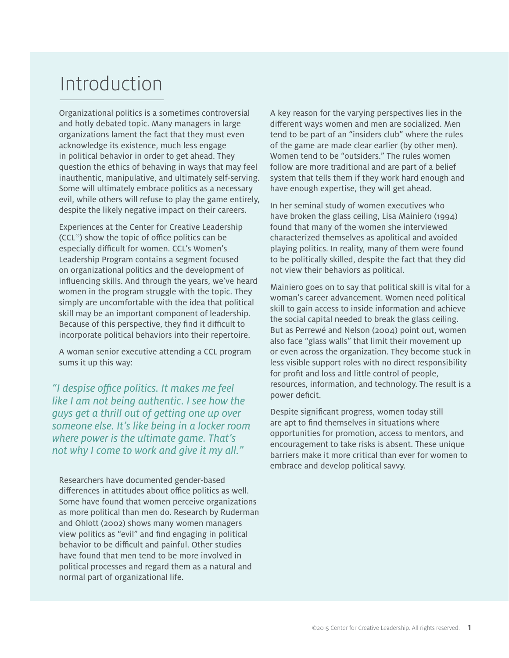## Introduction

Organizational politics is a sometimes controversial and hotly debated topic. Many managers in large organizations lament the fact that they must even acknowledge its existence, much less engage in political behavior in order to get ahead. They question the ethics of behaving in ways that may feel inauthentic, manipulative, and ultimately self-serving. Some will ultimately embrace politics as a necessary evil, while others will refuse to play the game entirely, despite the likely negative impact on their careers.

Experiences at the Center for Creative Leadership (CCL®) show the topic of office politics can be especially difficult for women. CCL's Women's Leadership Program contains a segment focused on organizational politics and the development of influencing skills. And through the years, we've heard women in the program struggle with the topic. They simply are uncomfortable with the idea that political skill may be an important component of leadership. Because of this perspective, they find it difficult to incorporate political behaviors into their repertoire.

A woman senior executive attending a CCL program sums it up this way:

*"I despise office politics. It makes me feel like I am not being authentic. I see how the guys get a thrill out of getting one up over someone else. It's like being in a locker room where power is the ultimate game. That's not why I come to work and give it my all."*

Researchers have documented gender-based differences in attitudes about office politics as well. Some have found that women perceive organizations as more political than men do. Research by Ruderman and Ohlott (2002) shows many women managers view politics as "evil" and find engaging in political behavior to be difficult and painful. Other studies have found that men tend to be more involved in political processes and regard them as a natural and normal part of organizational life.

A key reason for the varying perspectives lies in the different ways women and men are socialized. Men tend to be part of an "insiders club" where the rules of the game are made clear earlier (by other men). Women tend to be "outsiders." The rules women follow are more traditional and are part of a belief system that tells them if they work hard enough and have enough expertise, they will get ahead.

In her seminal study of women executives who have broken the glass ceiling, Lisa Mainiero (1994) found that many of the women she interviewed characterized themselves as apolitical and avoided playing politics. In reality, many of them were found to be politically skilled, despite the fact that they did not view their behaviors as political.

Mainiero goes on to say that political skill is vital for a woman's career advancement. Women need political skill to gain access to inside information and achieve the social capital needed to break the glass ceiling. But as Perrewé and Nelson (2004) point out, women also face "glass walls" that limit their movement up or even across the organization. They become stuck in less visible support roles with no direct responsibility for profit and loss and little control of people, resources, information, and technology. The result is a power deficit.

Despite significant progress, women today still are apt to find themselves in situations where opportunities for promotion, access to mentors, and encouragement to take risks is absent. These unique barriers make it more critical than ever for women to embrace and develop political savvy.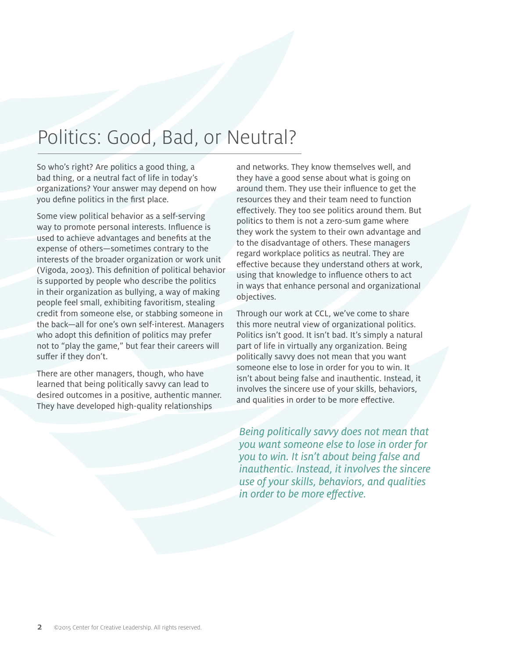## Politics: Good, Bad, or Neutral?

So who's right? Are politics a good thing, a bad thing, or a neutral fact of life in today's organizations? Your answer may depend on how you define politics in the first place.

Some view political behavior as a self-serving way to promote personal interests. Influence is used to achieve advantages and benefits at the expense of others—sometimes contrary to the interests of the broader organization or work unit (Vigoda, 2003). This definition of political behavior is supported by people who describe the politics in their organization as bullying, a way of making people feel small, exhibiting favoritism, stealing credit from someone else, or stabbing someone in the back—all for one's own self-interest. Managers who adopt this definition of politics may prefer not to "play the game," but fear their careers will suffer if they don't.

There are other managers, though, who have learned that being politically savvy can lead to desired outcomes in a positive, authentic manner. They have developed high-quality relationships

and networks. They know themselves well, and they have a good sense about what is going on around them. They use their influence to get the resources they and their team need to function effectively. They too see politics around them. But politics to them is not a zero-sum game where they work the system to their own advantage and to the disadvantage of others. These managers regard workplace politics as neutral. They are effective because they understand others at work, using that knowledge to influence others to act in ways that enhance personal and organizational objectives.

Through our work at CCL, we've come to share this more neutral view of organizational politics. Politics isn't good. It isn't bad. It's simply a natural part of life in virtually any organization. Being politically savvy does not mean that you want someone else to lose in order for you to win. It isn't about being false and inauthentic. Instead, it involves the sincere use of your skills, behaviors, and qualities in order to be more effective.

*Being politically savvy does not mean that you want someone else to lose in order for you to win. It isn't about being false and inauthentic. Instead, it involves the sincere use of your skills, behaviors, and qualities in order to be more effective.*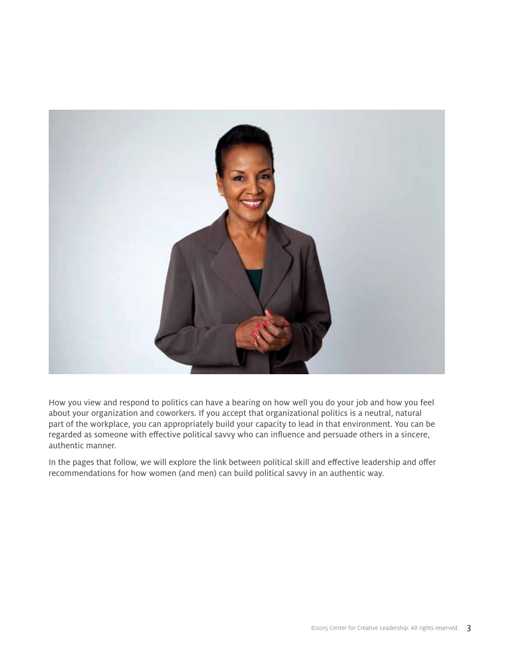

How you view and respond to politics can have a bearing on how well you do your job and how you feel about your organization and coworkers. If you accept that organizational politics is a neutral, natural part of the workplace, you can appropriately build your capacity to lead in that environment. You can be regarded as someone with effective political savvy who can influence and persuade others in a sincere, authentic manner.

In the pages that follow, we will explore the link between political skill and effective leadership and offer recommendations for how women (and men) can build political savvy in an authentic way.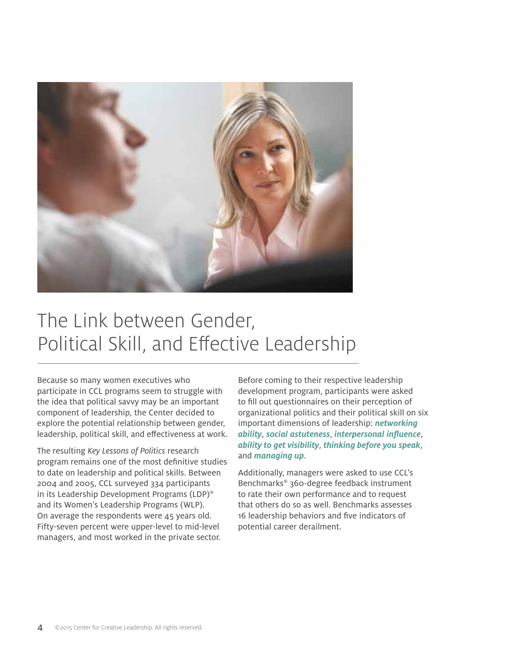

# The Link between Gender, Political Skill, and Effective Leadership

Because so many women executives who participate in CCL programs seem to struggle with the idea that political savvy may be an important component of leadership, the Center decided to explore the potential relationship between gender, leadership, political skill, and effectiveness at work.

The resulting *Key Lessons of Politics* research program remains one of the most definitive studies to date on leadership and political skills. Between 2004 and 2005, CCL surveyed 334 participants in its Leadership Development Programs (LDP)® and its Women's Leadership Programs (WLP). On average the respondents were 45 years old. Fifty-seven percent were upper-level to mid-level managers, and most worked in the private sector.

Before coming to their respective leadership development program, participants were asked to fill out questionnaires on their perception of organizational politics and their political skill on six important dimensions of leadership: *networking ability*, *social astuteness*, *interpersonal influence*, *ability to get visibility*, *thinking before you speak*, and *managing up*.

Additionally, managers were asked to use CCL's Benchmarks® 360-degree feedback instrument to rate their own performance and to request that others do so as well. Benchmarks assesses 16 leadership behaviors and five indicators of potential career derailment.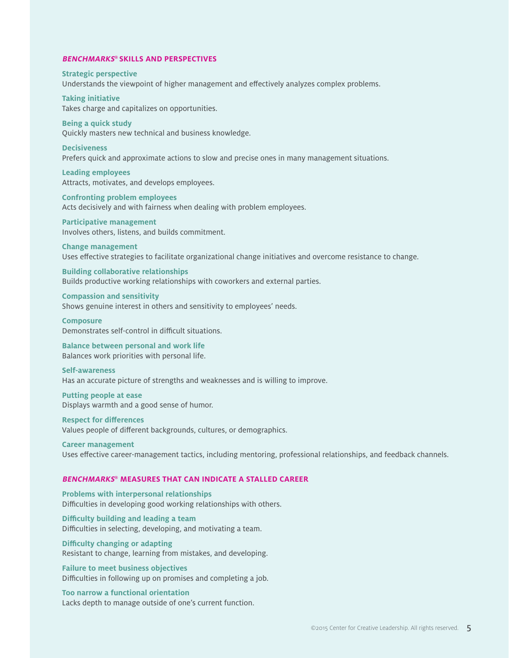#### **BENCHMARKS® SKILLS AND PERSPECTIVES**

**Strategic perspective** Understands the viewpoint of higher management and effectively analyzes complex problems.

**Taking initiative** Takes charge and capitalizes on opportunities.

**Being a quick study**

Quickly masters new technical and business knowledge. **Decisiveness** Prefers quick and approximate actions to slow and precise ones in many management situations.

**Leading employees** Attracts, motivates, and develops employees.

**Confronting problem employees** Acts decisively and with fairness when dealing with problem employees.

**Participative management** Involves others, listens, and builds commitment.

**Change management** Uses effective strategies to facilitate organizational change initiatives and overcome resistance to change.

**Building collaborative relationships** Builds productive working relationships with coworkers and external parties.

**Compassion and sensitivity** Shows genuine interest in others and sensitivity to employees' needs.

**Composure** Demonstrates self-control in difficult situations.

**Balance between personal and work life** Balances work priorities with personal life.

**Self-awareness**

Has an accurate picture of strengths and weaknesses and is willing to improve.

**Putting people at ease** Displays warmth and a good sense of humor.

**Respect for differences** Values people of different backgrounds, cultures, or demographics.

**Career management** Uses effective career-management tactics, including mentoring, professional relationships, and feedback channels.

#### **BENCHMARKS® MEASURES THAT CAN INDICATE A STALLED CAREER**

**Problems with interpersonal relationships** Difficulties in developing good working relationships with others.

**Difficulty building and leading a team** Difficulties in selecting, developing, and motivating a team.

**Difficulty changing or adapting** Resistant to change, learning from mistakes, and developing.

**Failure to meet business objectives** Difficulties in following up on promises and completing a job.

**Too narrow a functional orientation** Lacks depth to manage outside of one's current function.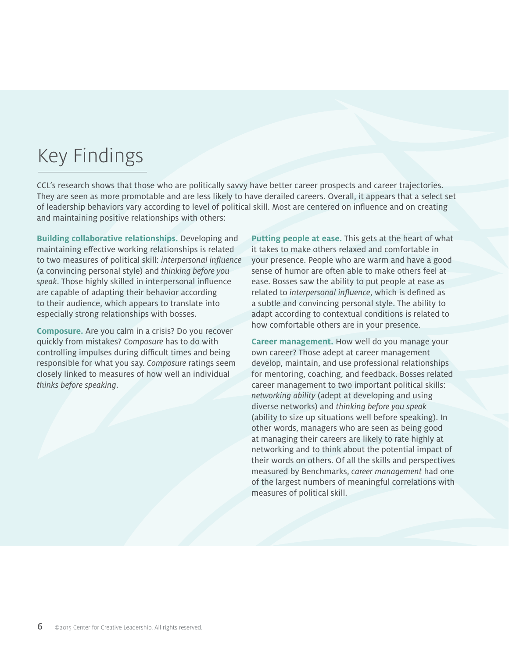# Key Findings

CCL's research shows that those who are politically savvy have better career prospects and career trajectories. They are seen as more promotable and are less likely to have derailed careers. Overall, it appears that a select set of leadership behaviors vary according to level of political skill. Most are centered on influence and on creating and maintaining positive relationships with others:

**Building collaborative relationships.** Developing and maintaining effective working relationships is related to two measures of political skill: *interpersonal influence* (a convincing personal style) and *thinking before you speak*. Those highly skilled in interpersonal influence are capable of adapting their behavior according to their audience, which appears to translate into especially strong relationships with bosses.

**Composure.** Are you calm in a crisis? Do you recover quickly from mistakes? *Composure* has to do with controlling impulses during difficult times and being responsible for what you say. *Composure* ratings seem closely linked to measures of how well an individual *thinks before speaking*.

**Putting people at ease.** This gets at the heart of what it takes to make others relaxed and comfortable in your presence. People who are warm and have a good sense of humor are often able to make others feel at ease. Bosses saw the ability to put people at ease as related to *interpersonal influence*, which is defined as a subtle and convincing personal style. The ability to adapt according to contextual conditions is related to how comfortable others are in your presence.

**Career management.** How well do you manage your own career? Those adept at career management develop, maintain, and use professional relationships for mentoring, coaching, and feedback. Bosses related career management to two important political skills: *networking ability* (adept at developing and using diverse networks) and *thinking before you speak* (ability to size up situations well before speaking). In other words, managers who are seen as being good at managing their careers are likely to rate highly at networking and to think about the potential impact of their words on others. Of all the skills and perspectives measured by Benchmarks, *career management* had one of the largest numbers of meaningful correlations with measures of political skill.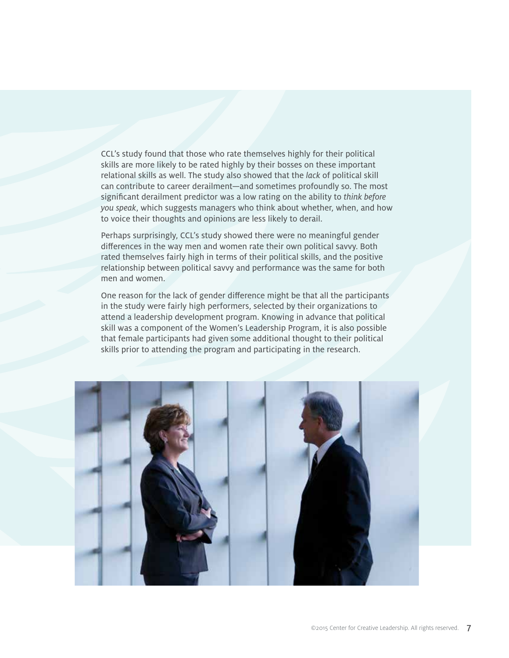CCL's study found that those who rate themselves highly for their political skills are more likely to be rated highly by their bosses on these important relational skills as well. The study also showed that the *lack* of political skill can contribute to career derailment—and sometimes profoundly so. The most significant derailment predictor was a low rating on the ability to *think before you speak*, which suggests managers who think about whether, when, and how to voice their thoughts and opinions are less likely to derail.

Perhaps surprisingly, CCL's study showed there were no meaningful gender differences in the way men and women rate their own political savvy. Both rated themselves fairly high in terms of their political skills, and the positive relationship between political savvy and performance was the same for both men and women.

One reason for the lack of gender difference might be that all the participants in the study were fairly high performers, selected by their organizations to attend a leadership development program. Knowing in advance that political skill was a component of the Women's Leadership Program, it is also possible that female participants had given some additional thought to their political skills prior to attending the program and participating in the research.

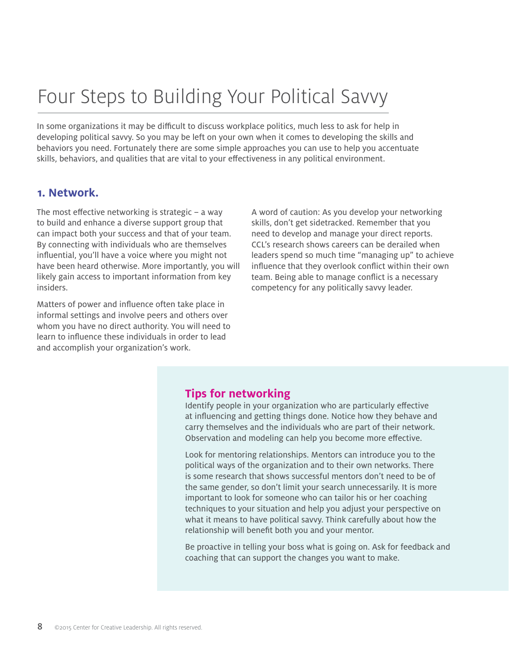# Four Steps to Building Your Political Savvy

In some organizations it may be difficult to discuss workplace politics, much less to ask for help in developing political savvy. So you may be left on your own when it comes to developing the skills and behaviors you need. Fortunately there are some simple approaches you can use to help you accentuate skills, behaviors, and qualities that are vital to your effectiveness in any political environment.

#### **1. Network.**

The most effective networking is strategic – a way to build and enhance a diverse support group that can impact both your success and that of your team. By connecting with individuals who are themselves influential, you'll have a voice where you might not have been heard otherwise. More importantly, you will likely gain access to important information from key insiders.

Matters of power and influence often take place in informal settings and involve peers and others over whom you have no direct authority. You will need to learn to influence these individuals in order to lead and accomplish your organization's work.

A word of caution: As you develop your networking skills, don't get sidetracked. Remember that you need to develop and manage your direct reports. CCL's research shows careers can be derailed when leaders spend so much time "managing up" to achieve influence that they overlook conflict within their own team. Being able to manage conflict is a necessary competency for any politically savvy leader.

#### **Tips for networking**

Identify people in your organization who are particularly effective at influencing and getting things done. Notice how they behave and carry themselves and the individuals who are part of their network. Observation and modeling can help you become more effective.

Look for mentoring relationships. Mentors can introduce you to the political ways of the organization and to their own networks. There is some research that shows successful mentors don't need to be of the same gender, so don't limit your search unnecessarily. It is more important to look for someone who can tailor his or her coaching techniques to your situation and help you adjust your perspective on what it means to have political savvy. Think carefully about how the relationship will benefit both you and your mentor.

Be proactive in telling your boss what is going on. Ask for feedback and coaching that can support the changes you want to make.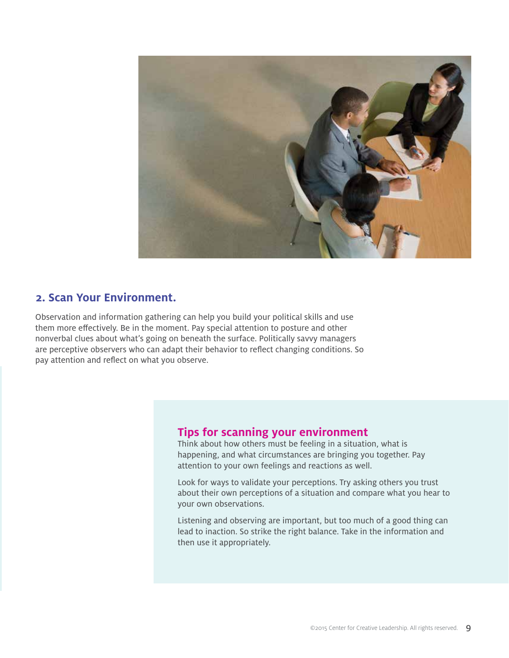

#### **2. Scan Your Environment.**

Observation and information gathering can help you build your political skills and use them more effectively. Be in the moment. Pay special attention to posture and other nonverbal clues about what's going on beneath the surface. Politically savvy managers are perceptive observers who can adapt their behavior to reflect changing conditions. So pay attention and reflect on what you observe.

#### **Tips for scanning your environment**

Think about how others must be feeling in a situation, what is happening, and what circumstances are bringing you together. Pay attention to your own feelings and reactions as well.

Look for ways to validate your perceptions. Try asking others you trust about their own perceptions of a situation and compare what you hear to your own observations.

Listening and observing are important, but too much of a good thing can lead to inaction. So strike the right balance. Take in the information and then use it appropriately.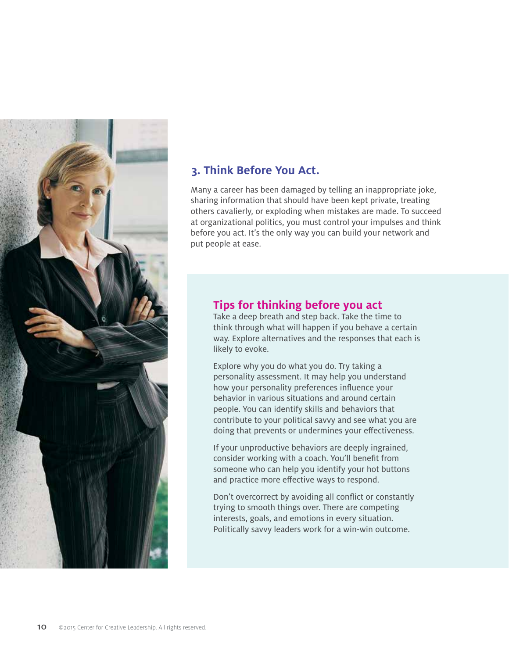

#### **3. Think Before You Act.**

Many a career has been damaged by telling an inappropriate joke, sharing information that should have been kept private, treating others cavalierly, or exploding when mistakes are made. To succeed at organizational politics, you must control your impulses and think before you act. It's the only way you can build your network and put people at ease.

#### **Tips for thinking before you act**

Take a deep breath and step back. Take the time to think through what will happen if you behave a certain way. Explore alternatives and the responses that each is likely to evoke.

Explore why you do what you do. Try taking a personality assessment. It may help you understand how your personality preferences influence your behavior in various situations and around certain people. You can identify skills and behaviors that contribute to your political savvy and see what you are doing that prevents or undermines your effectiveness.

If your unproductive behaviors are deeply ingrained, consider working with a coach. You'll benefit from someone who can help you identify your hot buttons and practice more effective ways to respond.

Don't overcorrect by avoiding all conflict or constantly trying to smooth things over. There are competing interests, goals, and emotions in every situation. Politically savvy leaders work for a win-win outcome.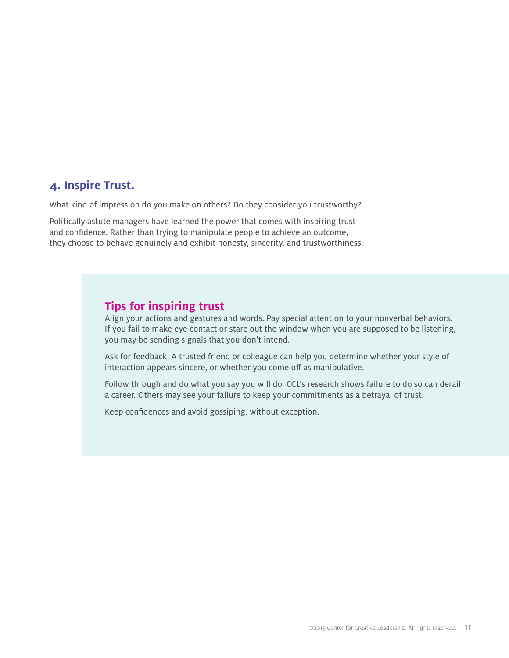#### **4. Inspire Trust.**

What kind of impression do you make on others? Do they consider you trustworthy?

Politically astute managers have learned the power that comes with inspiring trust and confidence. Rather than trying to manipulate people to achieve an outcome, they choose to behave genuinely and exhibit honesty, sincerity, and trustworthiness.

#### **Tips for inspiring trust**

Align your actions and gestures and words. Pay special attention to your nonverbal behaviors. If you fail to make eye contact or stare out the window when you are supposed to be listening, you may be sending signals that you don't intend.

Ask for feedback. A trusted friend or colleague can help you determine whether your style of interaction appears sincere, or whether you come off as manipulative.

Follow through and do what you say you will do. CCL's research shows failure to do so can derail a career. Others may see your failure to keep your commitments as a betrayal of trust.

Keep confidences and avoid gossiping, without exception.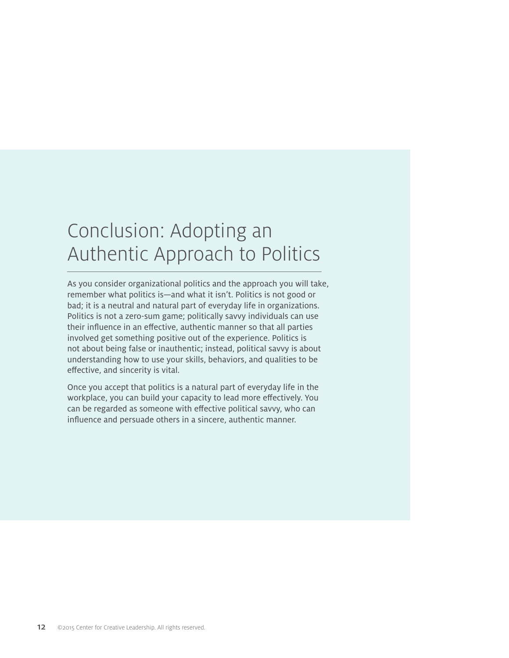# Conclusion: Adopting an Authentic Approach to Politics

As you consider organizational politics and the approach you will take, remember what politics is—and what it isn't. Politics is not good or bad; it is a neutral and natural part of everyday life in organizations. Politics is not a zero-sum game; politically savvy individuals can use their influence in an effective, authentic manner so that all parties involved get something positive out of the experience. Politics is not about being false or inauthentic; instead, political savvy is about understanding how to use your skills, behaviors, and qualities to be effective, and sincerity is vital.

Once you accept that politics is a natural part of everyday life in the workplace, you can build your capacity to lead more effectively. You can be regarded as someone with effective political savvy, who can influence and persuade others in a sincere, authentic manner.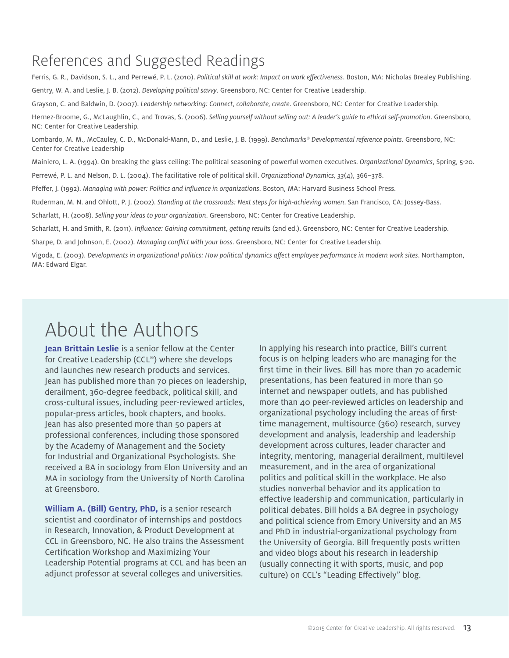### References and Suggested Readings

Ferris, G. R., Davidson, S. L., and Perrewé, P. L. (2010). *Political skill at work: Impact on work effectiveness*. Boston, MA: Nicholas Brealey Publishing. Gentry, W. A. and Leslie, J. B. (2012). *Developing political savvy*. Greensboro, NC: Center for Creative Leadership. Grayson, C. and Baldwin, D. (2007). *Leadership networking: Connect, collaborate, create*. Greensboro, NC: Center for Creative Leadership. Hernez-Broome, G., McLaughlin, C., and Trovas, S. (2006). *Selling yourself without selling out: A leader's guide to ethical self-promotion*. Greensboro, NC: Center for Creative Leadership. Lombardo, M. M., McCauley, C. D., McDonald-Mann, D., and Leslie, J. B. (1999). *Benchmarks® Developmental reference points*. Greensboro, NC: Center for Creative Leadership Mainiero, L. A. (1994). On breaking the glass ceiling: The political seasoning of powerful women executives. *Organizational Dynamics*, Spring, 5-20. Perrewé, P. L. and Nelson, D. L. (2004). The facilitative role of political skill. *Organizational Dynamics, 33*(4), 366–378. Pfeffer, J. (1992). *Managing with power: Politics and influence in organizations*. Boston, MA: Harvard Business School Press. Ruderman, M. N. and Ohlott, P. J. (2002). *Standing at the crossroads: Next steps for high-achieving women*. San Francisco, CA: Jossey-Bass. Scharlatt, H. (2008). *Selling your ideas to your organization*. Greensboro, NC: Center for Creative Leadership.

Scharlatt, H. and Smith, R. (2011). *Influence: Gaining commitment, getting results* (2nd ed.). Greensboro, NC: Center for Creative Leadership.

Sharpe, D. and Johnson, E. (2002). *Managing conflict with your boss*. Greensboro, NC: Center for Creative Leadership.

Vigoda, E. (2003). *Developments in organizational politics: How political dynamics affect employee performance in modern work sites*. Northampton, MA: Edward Elgar.

## About the Authors

**Jean Brittain Leslie** is a senior fellow at the Center for Creative Leadership (CCL®) where she develops and launches new research products and services. Jean has published more than 70 pieces on leadership, derailment, 360-degree feedback, political skill, and cross-cultural issues, including peer-reviewed articles, popular-press articles, book chapters, and books. Jean has also presented more than 50 papers at professional conferences, including those sponsored by the Academy of Management and the Society for Industrial and Organizational Psychologists. She received a BA in sociology from Elon University and an MA in sociology from the University of North Carolina at Greensboro.

**William A. (Bill) Gentry, PhD,** is a senior research scientist and coordinator of internships and postdocs in Research, Innovation, & Product Development at CCL in Greensboro, NC. He also trains the Assessment Certification Workshop and Maximizing Your Leadership Potential programs at CCL and has been an adjunct professor at several colleges and universities.

In applying his research into practice, Bill's current focus is on helping leaders who are managing for the first time in their lives. Bill has more than 70 academic presentations, has been featured in more than 50 internet and newspaper outlets, and has published more than 40 peer-reviewed articles on leadership and organizational psychology including the areas of firsttime management, multisource (360) research, survey development and analysis, leadership and leadership development across cultures, leader character and integrity, mentoring, managerial derailment, multilevel measurement, and in the area of organizational politics and political skill in the workplace. He also studies nonverbal behavior and its application to effective leadership and communication, particularly in political debates. Bill holds a BA degree in psychology and political science from Emory University and an MS and PhD in industrial-organizational psychology from the University of Georgia. Bill frequently posts written and video blogs about his research in leadership (usually connecting it with sports, music, and pop culture) on CCL's "Leading Effectively" blog.